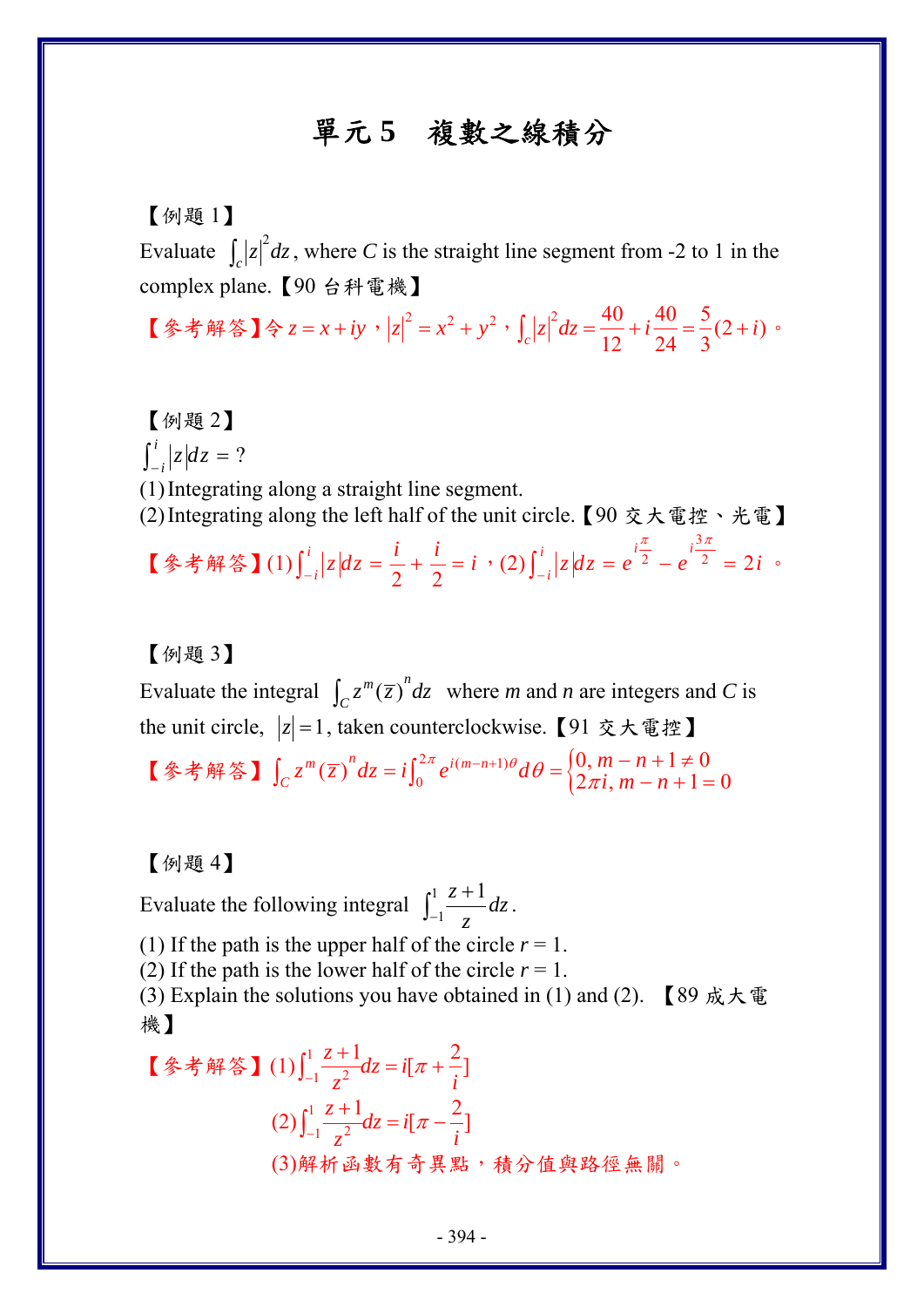## 單元 **5** 複數之線積分

## 【例題 1】

Evaluate  $\int_c |z|^2 dz$ , where *C* is the straight line segment from -2 to 1 in the complex plane.【90 台科電機】

【參考解答】令 *z* = *x* + *iy* ,  $|z|^2 = x^2 + y^2$ ,  $\int_c |z|^2 dz = \frac{40}{12} + i\frac{40}{24} = \frac{5}{3}(2+i)$ 

【例題 2】  $\int_{-i}^{i} |z| dz = ?$ (1)Integrating along a straight line segment. (2)Integrating along the left half of the unit circle.【90 交大電控、光電】 【参考解答】(1)  $\int_{-i}^{i} |z| dz = \frac{i}{2} + \frac{i}{2}$  $\int_{-i}^{i} |z| dz = \frac{i}{2} + \frac{i}{2} = i$  (2)  $\int_{-i}^{i} |z| dz = e^{i\frac{\pi}{2}} - e^{i\frac{3\pi}{2}}$  $\int_{-i}^{i} |z| dz = e^{i\frac{\pi}{2}} - e^{i\frac{3\pi}{2}} = 2i$  $\pi$  5 $\pi$  $\int_{-i}^{i} |z| dz = e^{-2} - e^{-2} = 2i$  .

【例題 3】

Evaluate the integral  $\int_C z^m(\overline{z})^n dz$  where *m* and *n* are integers and *C* is the unit circle,  $|z|=1$ , taken counterclockwise. 【91 交大電控】 【參考解答】 $\int_C z^m(\overline{z})^n dz = i \int_0^{2\pi} e^{i(m-n+1)\theta} d\theta = \begin{cases} 0, m-n+1 \neq 0 \\ 2\pi i, m-n+1 = 0 \end{cases}$  $\int_C z^m(\overline{z})^n dz = i \int_0^{2\pi} e^{i(m-n+1)\theta} d\theta = \begin{cases} 0, m-n+1 \neq 0 \\ 2\pi i, m-n+1 \neq 0 \end{cases}$ 

【例題 4】

Evaluate the following integral  $\int_{-1}^{1}$  $z + 1$ *dz*  $\int_{-1}^{1} \frac{z+1}{z} dz$ .

(1) If the path is the upper half of the circle  $r = 1$ .

(2) If the path is the lower half of the circle  $r = 1$ .

(3) Explain the solutions you have obtained in (1) and (2). 【89 成大電 機】

\n
$$
\left[ \hat{\mathcal{F}} \cdot \hat{\mathcal{F}} \quad \hat{\mathbb{F}} \right] \quad (1) \int_{-1}^{1} \frac{z+1}{z^2} dz = i[\pi + \frac{2}{i}]
$$
\n

\n\n $\left( 2 \right) \int_{-1}^{1} \frac{z+1}{z^2} dz = i[\pi - \frac{2}{i}]$ \n

\n\n $\left( 3 \right) \quad \hat{\mathbb{F}} \quad \hat{\mathbb{F}} \quad \hat{\mathbb{F}} \quad \hat{\mathbb{F}} \quad \hat{\mathbb{F}} \quad \hat{\mathbb{F}} \quad \hat{\mathbb{F}} \quad \hat{\mathbb{F}} \quad \hat{\mathbb{F}} \quad \hat{\mathbb{F}} \quad \hat{\mathbb{F}} \quad \hat{\mathbb{F}} \quad \hat{\mathbb{F}} \quad \hat{\mathbb{F}} \quad \hat{\mathbb{F}} \quad \hat{\mathbb{F}} \quad \hat{\mathbb{F}} \quad \hat{\mathbb{F}} \quad \hat{\mathbb{F}} \quad \hat{\mathbb{F}} \quad \hat{\mathbb{F}} \quad \hat{\mathbb{F}} \quad \hat{\mathbb{F}} \quad \hat{\mathbb{F}} \quad \hat{\mathbb{F}} \quad \hat{\mathbb{F}} \quad \hat{\mathbb{F}} \quad \hat{\mathbb{F}} \quad \hat{\mathbb{F}} \quad \hat{\mathbb{F}} \quad \hat{\mathbb{F}} \quad \hat{\mathbb{F}} \quad \hat{\mathbb{F}} \quad \hat{\mathbb{F}} \quad \hat{\mathbb{F}} \quad \hat{\mathbb{F}} \quad \hat{\mathbb{F}} \quad \hat{\mathbb{F}} \quad \hat{\mathbb{F}} \quad \hat{\mathbb{F}} \quad \hat{\mathbb{F}} \quad \hat{\mathbb{F}} \quad \hat{\mathbb{F}} \quad \hat{\mathbb{F}} \quad \hat{\mathbb{F}} \quad \hat{\mathbb{F}} \quad \hat{\mathbb{F}} \quad \hat{\mathbb{F}} \quad \hat{\mathbb{F}} \quad \hat{\mathbb{F}} \quad \hat{\mathbb{F}} \quad \hat{\mathbb{F}} \quad \hat{\mathbb{F}} \quad \hat{\mathbb{F}} \quad \hat{\mathbb{F}} \quad \hat{\mathbb{F}} \quad \hat{\mathbb{F}} \quad \hat{\mathbb{F}} \quad \hat{\mathbb{F}} \quad \hat{\mathbb{F}} \quad \hat{\mathbb{F}} \quad$